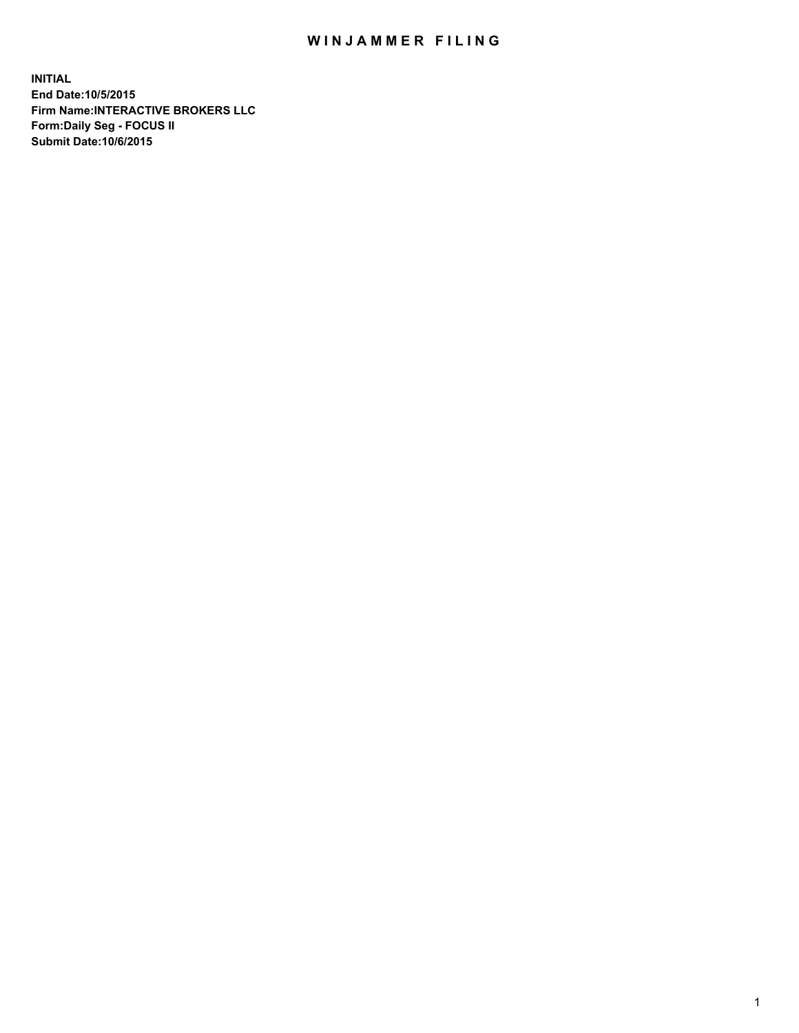## WIN JAMMER FILING

**INITIAL End Date:10/5/2015 Firm Name:INTERACTIVE BROKERS LLC Form:Daily Seg - FOCUS II Submit Date:10/6/2015**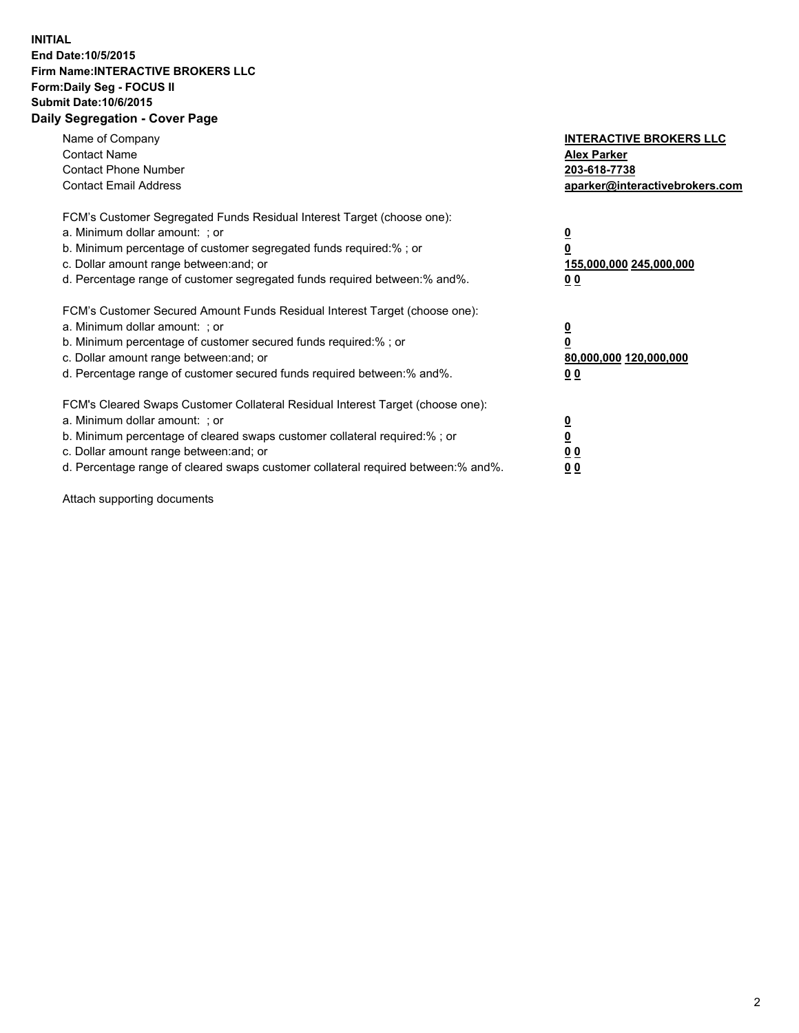## **INITIAL End Date:10/5/2015 Firm Name:INTERACTIVE BROKERS LLC Form:Daily Seg - FOCUS II Submit Date:10/6/2015 Daily Segregation - Cover Page**

| Name of Company<br><b>Contact Name</b><br><b>Contact Phone Number</b><br><b>Contact Email Address</b>                                                                                                                                                                                                                         | <b>INTERACTIVE BROKERS LLC</b><br><b>Alex Parker</b><br>203-618-7738<br>aparker@interactivebrokers.com |
|-------------------------------------------------------------------------------------------------------------------------------------------------------------------------------------------------------------------------------------------------------------------------------------------------------------------------------|--------------------------------------------------------------------------------------------------------|
| FCM's Customer Segregated Funds Residual Interest Target (choose one):<br>a. Minimum dollar amount: ; or<br>b. Minimum percentage of customer segregated funds required:% ; or<br>c. Dollar amount range between: and; or<br>d. Percentage range of customer segregated funds required between:% and%.                        | <u>0</u><br>155,000,000 245,000,000<br>0 <sub>0</sub>                                                  |
| FCM's Customer Secured Amount Funds Residual Interest Target (choose one):<br>a. Minimum dollar amount: ; or<br>b. Minimum percentage of customer secured funds required:%; or<br>c. Dollar amount range between: and; or<br>d. Percentage range of customer secured funds required between: % and %.                         | <u>0</u><br>80,000,000 120,000,000<br><u>00</u>                                                        |
| FCM's Cleared Swaps Customer Collateral Residual Interest Target (choose one):<br>a. Minimum dollar amount: ; or<br>b. Minimum percentage of cleared swaps customer collateral required:%; or<br>c. Dollar amount range between: and; or<br>d. Percentage range of cleared swaps customer collateral required between:% and%. | <u>0</u><br>0 <sub>0</sub><br>0 <sub>0</sub>                                                           |

Attach supporting documents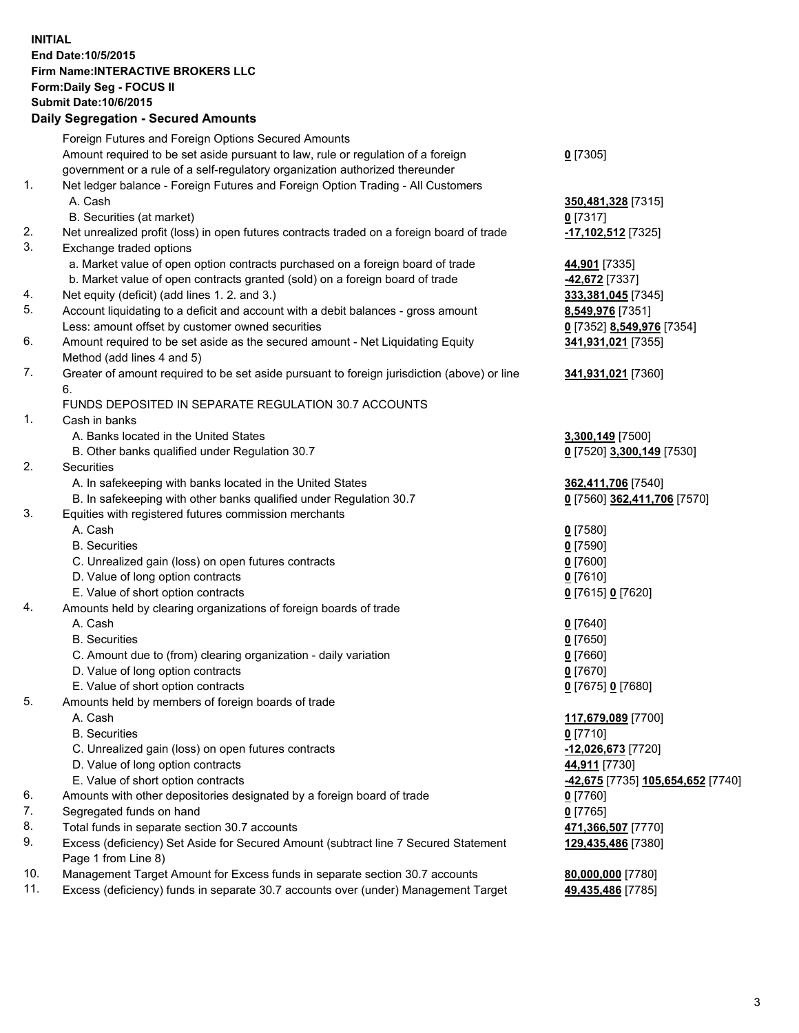## **INITIAL End Date:10/5/2015 Firm Name:INTERACTIVE BROKERS LLC Form:Daily Seg - FOCUS II Submit Date:10/6/2015 Daily Segregation - Secured Amounts**

|     | Daily Ocglegation - Occarea Anioants                                                                       |                                                |
|-----|------------------------------------------------------------------------------------------------------------|------------------------------------------------|
|     | Foreign Futures and Foreign Options Secured Amounts                                                        |                                                |
|     | Amount required to be set aside pursuant to law, rule or regulation of a foreign                           | $0$ [7305]                                     |
|     | government or a rule of a self-regulatory organization authorized thereunder                               |                                                |
| 1.  | Net ledger balance - Foreign Futures and Foreign Option Trading - All Customers                            |                                                |
|     | A. Cash                                                                                                    | 350,481,328 [7315]                             |
|     | B. Securities (at market)                                                                                  | $0$ [7317]                                     |
| 2.  | Net unrealized profit (loss) in open futures contracts traded on a foreign board of trade                  | 17,102,512 [7325]                              |
| 3.  | Exchange traded options                                                                                    |                                                |
|     | a. Market value of open option contracts purchased on a foreign board of trade                             | 44,901 [7335]                                  |
|     | b. Market value of open contracts granted (sold) on a foreign board of trade                               | -42,672 <sup>[7337]</sup>                      |
| 4.  | Net equity (deficit) (add lines 1.2. and 3.)                                                               | 333,381,045 [7345]                             |
| 5.  | Account liquidating to a deficit and account with a debit balances - gross amount                          | 8,549,976 [7351]                               |
|     | Less: amount offset by customer owned securities                                                           | 0 [7352] 8,549,976 [7354]                      |
| 6.  | Amount required to be set aside as the secured amount - Net Liquidating Equity                             | 341,931,021 [7355]                             |
|     | Method (add lines 4 and 5)                                                                                 |                                                |
| 7.  | Greater of amount required to be set aside pursuant to foreign jurisdiction (above) or line                | 341,931,021 [7360]                             |
|     | 6.                                                                                                         |                                                |
|     | FUNDS DEPOSITED IN SEPARATE REGULATION 30.7 ACCOUNTS                                                       |                                                |
| 1.  | Cash in banks                                                                                              |                                                |
|     | A. Banks located in the United States                                                                      | 3,300,149 [7500]                               |
|     | B. Other banks qualified under Regulation 30.7                                                             | 0 [7520] 3,300,149 [7530]                      |
| 2.  | <b>Securities</b>                                                                                          |                                                |
|     | A. In safekeeping with banks located in the United States                                                  | 362,411,706 [7540]                             |
|     | B. In safekeeping with other banks qualified under Regulation 30.7                                         | 0 [7560] 362,411,706 [7570]                    |
| 3.  | Equities with registered futures commission merchants                                                      |                                                |
|     | A. Cash                                                                                                    | $0$ [7580]                                     |
|     | <b>B.</b> Securities                                                                                       | $0$ [7590]                                     |
|     | C. Unrealized gain (loss) on open futures contracts                                                        | $0$ [7600]                                     |
|     | D. Value of long option contracts                                                                          | $0$ [7610]                                     |
|     | E. Value of short option contracts                                                                         | 0 [7615] 0 [7620]                              |
| 4.  | Amounts held by clearing organizations of foreign boards of trade                                          |                                                |
|     | A. Cash                                                                                                    | $0$ [7640]                                     |
|     | <b>B.</b> Securities                                                                                       | $0$ [7650]                                     |
|     | C. Amount due to (from) clearing organization - daily variation                                            | $0$ [7660]                                     |
|     | D. Value of long option contracts                                                                          | $0$ [7670]                                     |
|     | E. Value of short option contracts                                                                         | 0 [7675] 0 [7680]                              |
| 5.  | Amounts held by members of foreign boards of trade                                                         |                                                |
|     | A. Cash                                                                                                    | 117,679,089 [7700]                             |
|     | <b>B.</b> Securities                                                                                       | $0$ [7710]                                     |
|     | C. Unrealized gain (loss) on open futures contracts                                                        | $-12,026,673$ [7720]                           |
|     | D. Value of long option contracts                                                                          | 44,911 [7730]                                  |
|     | E. Value of short option contracts                                                                         | <mark>-42,675</mark> [7735] 105,654,652 [7740] |
| 6.  | Amounts with other depositories designated by a foreign board of trade                                     | 0 [7760]                                       |
| 7.  | Segregated funds on hand                                                                                   | $0$ [7765]                                     |
| 8.  | Total funds in separate section 30.7 accounts                                                              | 471,366,507 [7770]                             |
| 9.  | Excess (deficiency) Set Aside for Secured Amount (subtract line 7 Secured Statement<br>Page 1 from Line 8) | 129,435,486 [7380]                             |
| 10. | Management Target Amount for Excess funds in separate section 30.7 accounts                                | 80,000,000 [7780]                              |
| 11. | Excess (deficiency) funds in separate 30.7 accounts over (under) Management Target                         | 49,435,486 [7785]                              |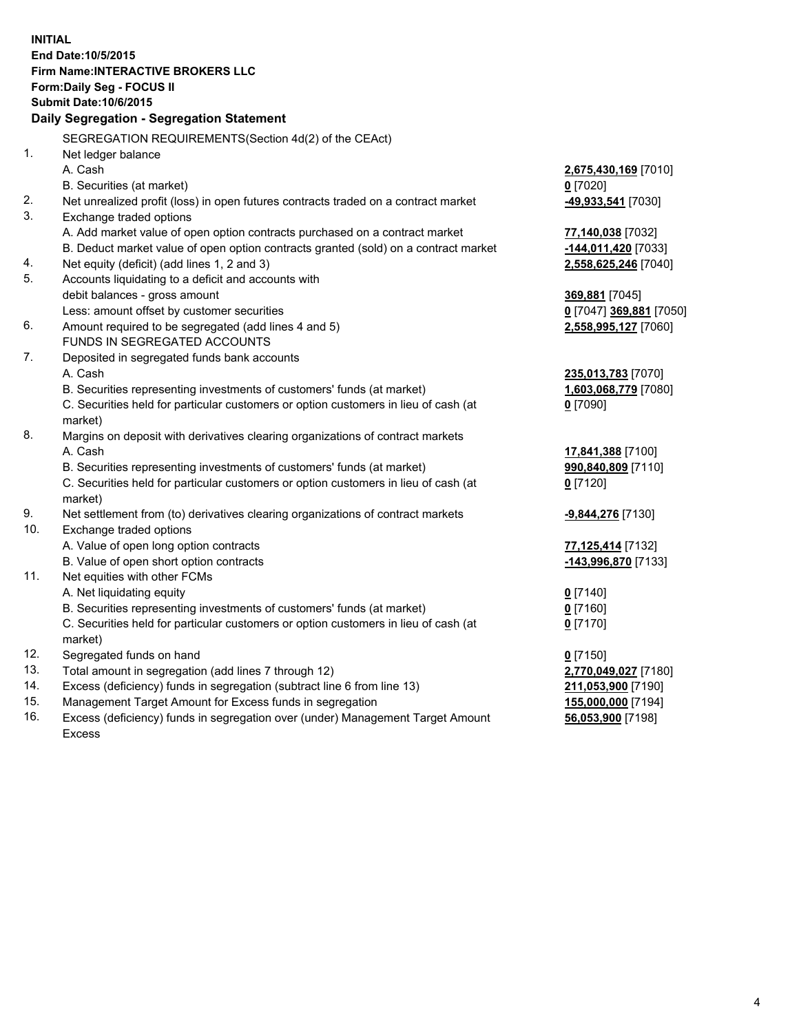**INITIAL End Date:10/5/2015 Firm Name:INTERACTIVE BROKERS LLC Form:Daily Seg - FOCUS II Submit Date:10/6/2015 Daily Segregation - Segregation Statement** SEGREGATION REQUIREMENTS(Section 4d(2) of the CEAct) 1. Net ledger balance A. Cash **2,675,430,169** [7010] B. Securities (at market) **0** [7020] 2. Net unrealized profit (loss) in open futures contracts traded on a contract market **-49,933,541** [7030] 3. Exchange traded options A. Add market value of open option contracts purchased on a contract market **77,140,038** [7032] B. Deduct market value of open option contracts granted (sold) on a contract market **-144,011,420** [7033] 4. Net equity (deficit) (add lines 1, 2 and 3) **2,558,625,246** [7040] 5. Accounts liquidating to a deficit and accounts with debit balances - gross amount **369,881** [7045] Less: amount offset by customer securities **0** [7047] **369,881** [7050] 6. Amount required to be segregated (add lines 4 and 5) **2,558,995,127** [7060] FUNDS IN SEGREGATED ACCOUNTS 7. Deposited in segregated funds bank accounts A. Cash **235,013,783** [7070] B. Securities representing investments of customers' funds (at market) **1,603,068,779** [7080] C. Securities held for particular customers or option customers in lieu of cash (at market) **0** [7090] 8. Margins on deposit with derivatives clearing organizations of contract markets A. Cash **17,841,388** [7100] B. Securities representing investments of customers' funds (at market) **990,840,809** [7110] C. Securities held for particular customers or option customers in lieu of cash (at market) **0** [7120] 9. Net settlement from (to) derivatives clearing organizations of contract markets **-9,844,276** [7130] 10. Exchange traded options A. Value of open long option contracts **77,125,414** [7132] B. Value of open short option contracts **-143,996,870** [7133] 11. Net equities with other FCMs A. Net liquidating equity **0** [7140] B. Securities representing investments of customers' funds (at market) **0** [7160] C. Securities held for particular customers or option customers in lieu of cash (at market) **0** [7170] 12. Segregated funds on hand **0** [7150] 13. Total amount in segregation (add lines 7 through 12) **2,770,049,027** [7180] 14. Excess (deficiency) funds in segregation (subtract line 6 from line 13) **211,053,900** [7190] 15. Management Target Amount for Excess funds in segregation **155,000,000** [7194] **56,053,900** [7198]

16. Excess (deficiency) funds in segregation over (under) Management Target Amount Excess